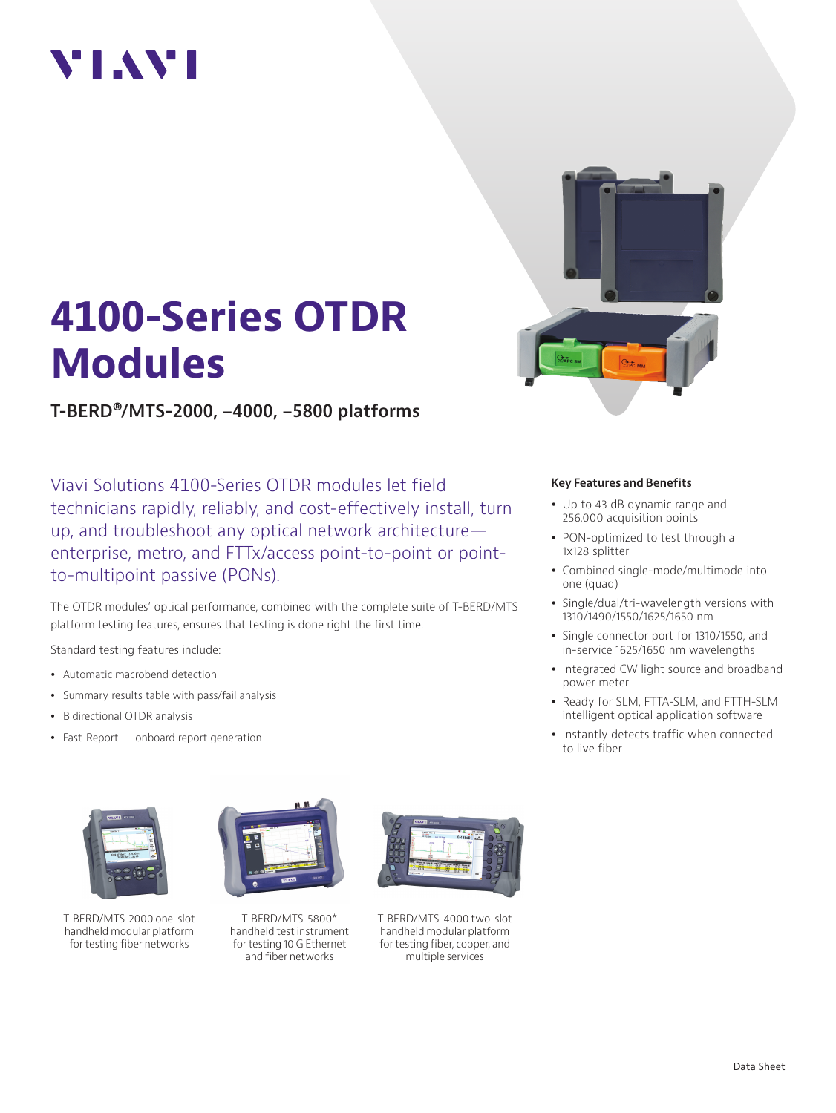## VIAVI



# **4100-Series OTDR Modules**

**T-BERD®/MTS-2000, -4000, -5800 platforms**

Viavi Solutions 4100-Series OTDR modules let field technicians rapidly, reliably, and cost-effectively install, turn up, and troubleshoot any optical network architecture enterprise, metro, and FTTx/access point-to-point or pointto-multipoint passive (PONs).

The OTDR modules' optical performance, combined with the complete suite of T-BERD/MTS platform testing features, ensures that testing is done right the first time.

Standard testing features include:

- Automatic macrobend detection
- Summary results table with pass/fail analysis
- Bidirectional OTDR analysis
- Fast-Report onboard report generation



T-BERD/MTS-2000 one-slot handheld modular platform for testing fiber networks



T-BERD/MTS-5800\* handheld test instrument for testing 10 G Ethernet and fiber networks



T-BERD/MTS-4000 two-slot handheld modular platform for testing fiber, copper, and multiple services

#### **Key Features and Benefits**

- Up to 43 dB dynamic range and 256,000 acquisition points
- PON-optimized to test through a 1x128 splitter
- Combined single-mode/multimode into one (quad)
- Single/dual/tri-wavelength versions with 1310/1490/1550/1625/1650 nm
- Single connector port for 1310/1550, and in-service 1625/1650 nm wavelengths
- Integrated CW light source and broadband power meter
- Ready for SLM, FTTA-SLM, and FTTH-SLM intelligent optical application software
- Instantly detects traffic when connected to live fiber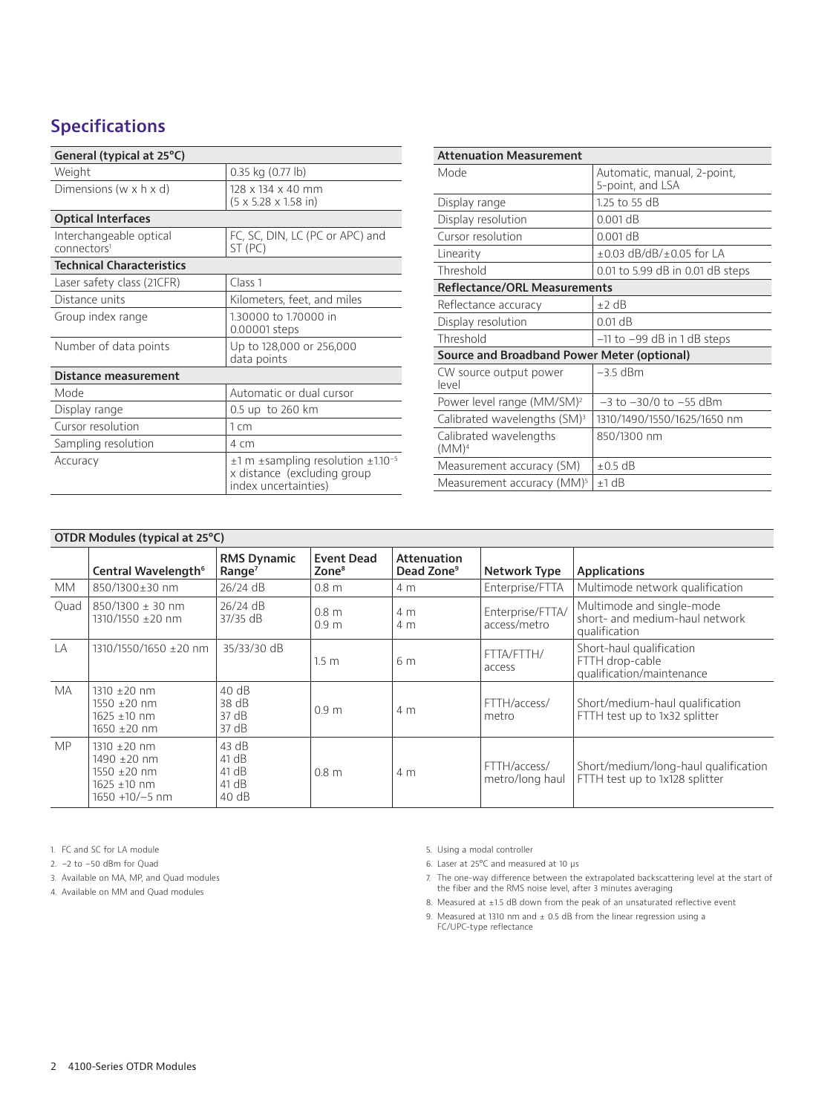## **Specifications**

| General (typical at 25°C)                          |                                                                                                            |  |  |  |
|----------------------------------------------------|------------------------------------------------------------------------------------------------------------|--|--|--|
| Weight                                             | 0.35 kg (0.77 lb)                                                                                          |  |  |  |
| Dimensions (w $\times$ h $\times$ d)               | 128 x 134 x 40 mm<br>$(5 \times 5.28 \times 1.58)$ in)                                                     |  |  |  |
| <b>Optical Interfaces</b>                          |                                                                                                            |  |  |  |
| Interchangeable optical<br>connectors <sup>1</sup> | FC, SC, DIN, LC (PC or APC) and<br>ST (PC)                                                                 |  |  |  |
| <b>Technical Characteristics</b>                   |                                                                                                            |  |  |  |
| Laser safety class (21CFR)                         | Class <sub>1</sub>                                                                                         |  |  |  |
| Distance units                                     | Kilometers, feet, and miles                                                                                |  |  |  |
| Group index range                                  | 1.30000 to 1.70000 in<br>0.00001 steps                                                                     |  |  |  |
| Number of data points                              | Up to 128,000 or 256,000<br>data points                                                                    |  |  |  |
| Distance measurement                               |                                                                                                            |  |  |  |
| Mode                                               | Automatic or dual cursor                                                                                   |  |  |  |
| Display range                                      | 0.5 up to 260 km                                                                                           |  |  |  |
| Cursor resolution                                  | $1 \text{ cm}$                                                                                             |  |  |  |
| Sampling resolution                                | 4 cm                                                                                                       |  |  |  |
| Accuracy                                           | $\pm 1$ m $\pm$ sampling resolution $\pm 1.10^{-5}$<br>x distance (excluding group<br>index uncertainties) |  |  |  |

| <b>Attenuation Measurement</b>              |                                                 |  |  |
|---------------------------------------------|-------------------------------------------------|--|--|
| Mode                                        | Automatic, manual, 2-point,<br>5-point, and LSA |  |  |
| Display range                               | 1.25 to 55 dB                                   |  |  |
| Display resolution                          | $0.001$ dB                                      |  |  |
| Cursor resolution                           | $0.001$ dB                                      |  |  |
| Linearity                                   | $\pm$ 0.03 dB/dB/ $\pm$ 0.05 for LA             |  |  |
| Threshold                                   | 0.01 to 5.99 dB in 0.01 dB steps                |  |  |
| <b>Reflectance/ORL Measurements</b>         |                                                 |  |  |
| Reflectance accuracy                        | $+2$ dB                                         |  |  |
| Display resolution                          | $0.01$ dB                                       |  |  |
| Threshold                                   | -11 to -99 dB in 1 dB steps                     |  |  |
| Source and Broadband Power Meter (optional) |                                                 |  |  |
| CW source output power<br>$ $ evel          | –3.5 dBm                                        |  |  |
| Power level range (MM/SM) <sup>2</sup>      | $-3$ to $-30/0$ to $-55$ dBm                    |  |  |
| Calibrated wavelengths (SM) <sup>3</sup>    | 1310/1490/1550/1625/1650 nm                     |  |  |
| Calibrated wavelengths<br>$(MM)^4$          | 850/1300 nm                                     |  |  |
| Measurement accuracy (SM)                   | $\pm 0.5$ dB                                    |  |  |
| Measurement accuracy (MM) <sup>5</sup>      | ±1 dB                                           |  |  |

| OTDR Modules (typical at 25°C) |                                                                                                  |                                          |                                        |                                              |                                  |                                                                              |
|--------------------------------|--------------------------------------------------------------------------------------------------|------------------------------------------|----------------------------------------|----------------------------------------------|----------------------------------|------------------------------------------------------------------------------|
|                                | Central Wavelength <sup>6</sup>                                                                  | <b>RMS Dynamic</b><br>Range <sup>7</sup> | <b>Event Dead</b><br>Zone <sup>8</sup> | <b>Attenuation</b><br>Dead Zone <sup>9</sup> | <b>Network Type</b>              | <b>Applications</b>                                                          |
| <b>MM</b>                      | 850/1300±30 nm                                                                                   | $26/24$ dB                               | 0.8 <sub>m</sub>                       | 4 m                                          | Enterprise/FTTA                  | Multimode network qualification                                              |
| Quad                           | $850/1300 + 30$ nm<br>$1310/1550 \pm 20$ nm                                                      | $26/24$ dB<br>37/35 dB                   | 0.8 <sub>m</sub><br>0.9 <sub>m</sub>   | 4 m<br>4 m                                   | Enterprise/FTTA/<br>access/metro | Multimode and single-mode<br>short- and medium-haul network<br>qualification |
| LA                             | 1310/1550/1650 +20 nm                                                                            | 35/33/30 dB                              | 1.5 <sub>m</sub>                       | 6 <sub>m</sub>                               | FTTA/FTTH/<br>access             | Short-haul qualification<br>FTTH drop-cable<br>qualification/maintenance     |
| <b>MA</b>                      | $1310 + 20$ nm<br>$1550 + 20$ nm<br>$1625 + 10$ nm<br>$1650 \pm 20$ nm                           | 40dB<br>38 dB<br>37 dB<br>37 dB          | 0.9 <sub>m</sub>                       | 4 m                                          | FTTH/access/<br>metro            | Short/medium-haul qualification<br>FTTH test up to 1x32 splitter             |
| <b>MP</b>                      | $1310 + 20$ nm<br>1490 ±20 nm<br>$1550 + 20$ nm<br>$1625 \pm 10 \text{ nm}$<br>$1650 + 10/-5$ nm | 43 dB<br>41 dB<br>41 dB<br>41 dB<br>40dB | 0.8 <sub>m</sub>                       | 4 m                                          | FTTH/access/<br>metro/long haul  | Short/medium/long-haul qualification<br>FTTH test up to 1x128 splitter       |

1. FC and SC for LA module

2. −2 to −50 dBm for Quad

3. Available on MA, MP, and Quad modules

4. Available on MM and Quad modules

5. Using a modal controller

6. Laser at 25°C and measured at 10 μs

- 7. The one-way difference between the extrapolated backscattering level at the start of the fiber and the RMS noise level, after 3 minutes averaging
- 8. Measured at ±1.5 dB down from the peak of an unsaturated reflective event
- 9. Measured at 1310 nm and  $\pm$  0.5 dB from the linear regression using a FC/UPC-type reflectance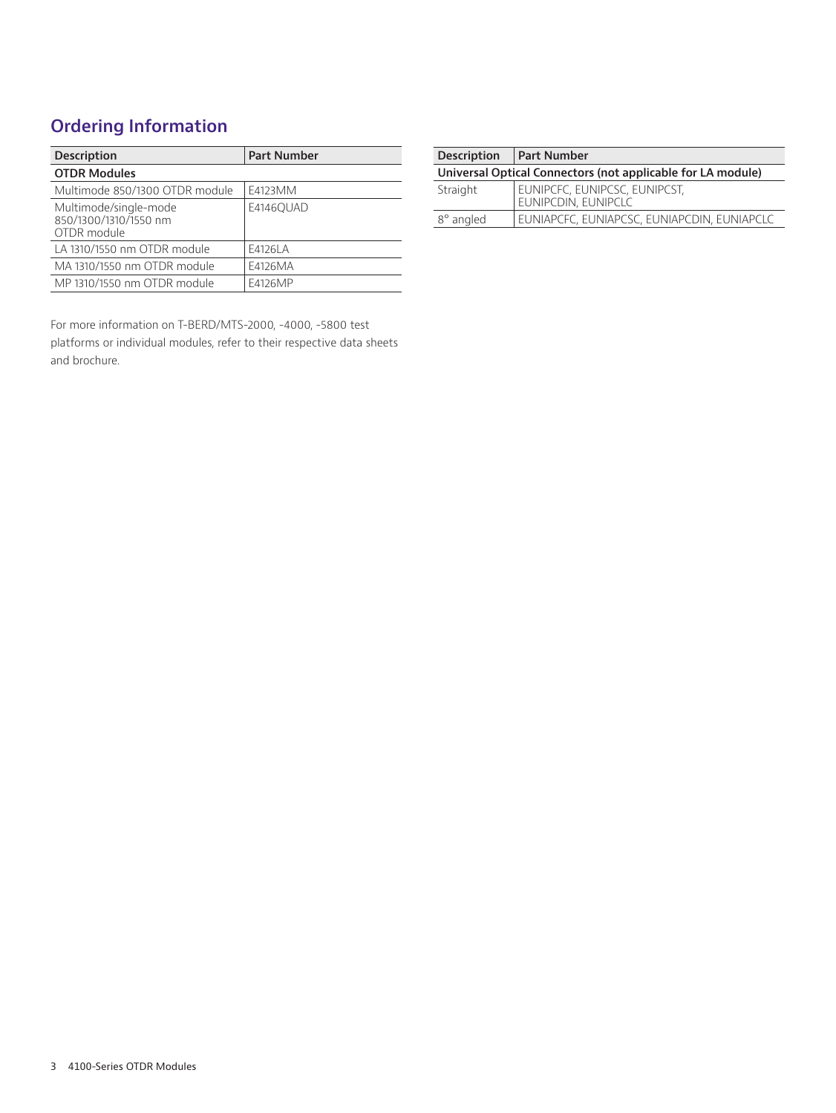## **Ordering Information**

| <b>Description</b>                                            | <b>Part Number</b> |
|---------------------------------------------------------------|--------------------|
| <b>OTDR Modules</b>                                           |                    |
| Multimode 850/1300 OTDR module                                | F4123MM            |
| Multimode/single-mode<br>850/1300/1310/1550 nm<br>OTDR module | E4146OUAD          |
| LA 1310/1550 nm OTDR module                                   | F4126LA            |
| MA 1310/1550 nm OTDR module                                   | F4126MA            |
| MP 1310/1550 nm OTDR module                                   | F4126MP            |

For more information on T-BERD/MTS-2000, -4000, -5800 test platforms or individual modules, refer to their respective data sheets and brochure.

| <b>Description</b>                                          | <b>Part Number</b>                                   |  |
|-------------------------------------------------------------|------------------------------------------------------|--|
| Universal Optical Connectors (not applicable for LA module) |                                                      |  |
| Straight                                                    | EUNIPCFC, EUNIPCSC, EUNIPCST,<br>EUNIPCDIN, EUNIPCLC |  |
| 8° angled                                                   | EUNIAPCFC, EUNIAPCSC, EUNIAPCDIN, EUNIAPCLC          |  |